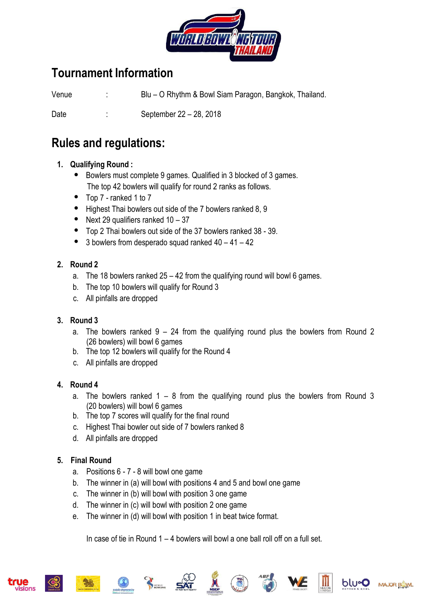

# **Tournament Information**

Venue : Blu – O Rhythm & Bowl Siam Paragon, Bangkok, Thailand.

Date : September 22 – 28, 2018

## **Rules and regulations:**

#### **1. Qualifying Round :**

- Bowlers must complete 9 games. Qualified in 3 blocked of 3 games. The top 42 bowlers will qualify for round 2 ranks as follows.
- Top 7 ranked 1 to 7
- Highest Thai bowlers out side of the 7 bowlers ranked 8, 9
- Next 29 qualifiers ranked 10 37
- Top 2 Thai bowlers out side of the 37 bowlers ranked 38 39.
- 3 bowlers from desperado squad ranked 40 41 42

#### **2. Round 2**

- a. The 18 bowlers ranked 25 42 from the qualifying round will bowl 6 games.
- b. The top 10 bowlers will qualify for Round 3
- c. All pinfalls are dropped

#### **3. Round 3**

- a. The bowlers ranked  $9 24$  from the qualifying round plus the bowlers from Round 2 (26 bowlers) will bowl 6 games
- b. The top 12 bowlers will qualify for the Round 4
- c. All pinfalls are dropped

#### **4. Round 4**

- a. The bowlers ranked  $1 8$  from the qualifying round plus the bowlers from Round 3 (20 bowlers) will bowl 6 games
- b. The top 7 scores will qualify for the final round
- c. Highest Thai bowler out side of 7 bowlers ranked 8
- d. All pinfalls are dropped

#### **5. Final Round**

- a. Positions 6 7 8 will bowl one game
- b. The winner in (a) will bowl with positions 4 and 5 and bowl one game
- c. The winner in (b) will bowl with position 3 one game
- d. The winner in (c) will bowl with position 2 one game
- e. The winner in (d) will bowl with position 1 in beat twice format.

In case of tie in Round  $1 - 4$  bowlers will bowl a one ball roll off on a full set.











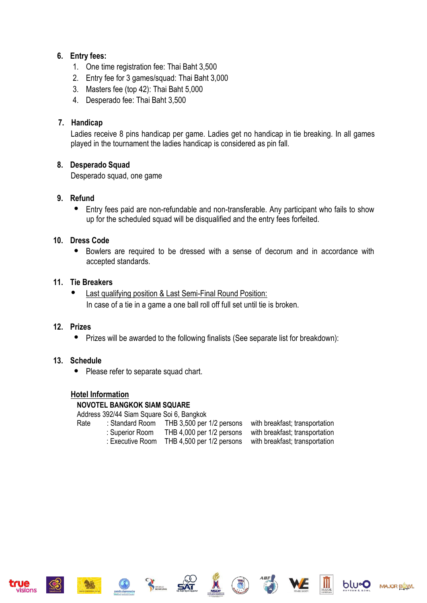#### **6. Entry fees:**

- 1. One time registration fee: Thai Baht 3,500
- 2. Entry fee for 3 games/squad: Thai Baht 3,000
- 3. Masters fee (top 42): Thai Baht 5,000
- 4. Desperado fee: Thai Baht 3,500

#### **7. Handicap**

Ladies receive 8 pins handicap per game. Ladies get no handicap in tie breaking. In all games played in the tournament the ladies handicap is considered as pin fall.

#### **8. Desperado Squad**

Desperado squad, one game

#### **9. Refund**

 Entry fees paid are non-refundable and non-transferable. Any participant who fails to show up for the scheduled squad will be disqualified and the entry fees forfeited.

#### **10. Dress Code**

 Bowlers are required to be dressed with a sense of decorum and in accordance with accepted standards.

#### **11. Tie Breakers**

 Last qualifying position & Last Semi-Final Round Position: In case of a tie in a game a one ball roll off full set until tie is broken.

#### **12. Prizes**

• Prizes will be awarded to the following finalists (See separate list for breakdown):

#### **13. Schedule**

• Please refer to separate squad chart.

#### **Hotel Information**

#### **NOVOTEL BANGKOK SIAM SQUARE**

Address 392/44 Siam Square Soi 6, Bangkok

| Rate | : Standard Room  | THB 3,500 per 1/2 persons | with breakfast; transportation |
|------|------------------|---------------------------|--------------------------------|
|      | : Superior Room  | THB 4,000 per 1/2 persons | with breakfast; transportation |
|      | : Executive Room | THB 4,500 per 1/2 persons | with breakfast; transportation |











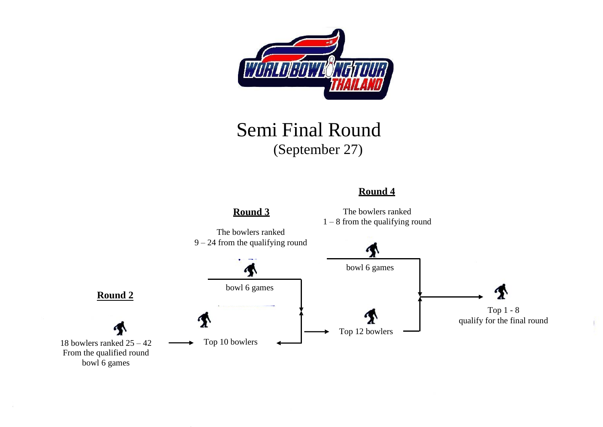

# Semi Final Round (September 27)

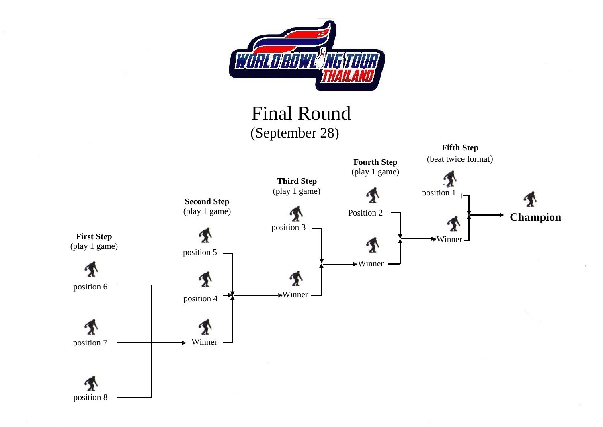

# Final Round



position 8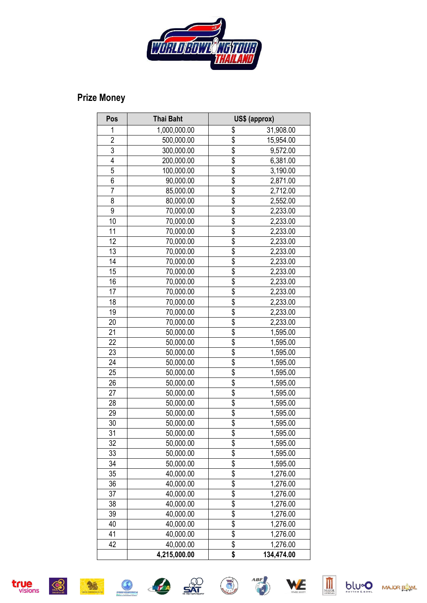

#### **Prize Mon e y**

| Pos            | <b>Thai Baht</b> | US\$ (approx)                         |                       |  |
|----------------|------------------|---------------------------------------|-----------------------|--|
| 1              | 1,000,000.00     | \$                                    | 31,908.00             |  |
| $\overline{2}$ | 500,000.00       | \$                                    | 15,954.00             |  |
| 3              | 300,000.00       | \$                                    | 9,572.00              |  |
| 4              | 200,000.00       | \$                                    | 6,381.00              |  |
| 5              | 100,000.00       | \$                                    | 3,190.00              |  |
| 6              | 90,000.00        | \$                                    | 2,871.00              |  |
| 7              | 85,000.00        | \$                                    | 2,712.00              |  |
| 8              | 80,000.00        | \$                                    | 2,552.00              |  |
| 9              | 70,000.00        | \$                                    | 2,233.00              |  |
| 10             | 70,000.00        | $\overline{\mathcal{S}}$              | 2,233.00              |  |
| 11             | 70,000.00        | \$                                    | 2,233.00              |  |
| 12             | 70,000.00        | \$                                    | 2,233.00              |  |
| 13             | 70,000.00        | \$                                    | 2,233.00              |  |
| 14             | 70,000.00        | \$                                    | 2,233.00              |  |
| 15             | 70,000.00        | \$                                    | 2,233.00              |  |
| 16             | 70,000.00        | $\overline{\$}$                       | 2,233.00              |  |
| 17             | 70,000.00        | \$                                    | 2,233.00              |  |
| 18             | 70,000.00        | \$                                    | 2,233.00              |  |
| 19             | 70,000.00        | \$                                    | 2,233.00              |  |
| 20             | 70,000.00        | \$                                    | 2,233.00              |  |
| 21             | 50,000.00        | \$                                    | 1,595.00              |  |
| 22             | 50,000.00        | \$                                    | 1,595.00              |  |
| 23             | 50,000.00        | \$                                    | 1,595.00              |  |
| 24             | 50,000.00        | \$                                    | 1,595.00              |  |
| 25             | 50,000.00        | \$                                    | 1,595.00              |  |
| 26             | 50,000.00        | \$                                    | 1,595.00              |  |
| 27             | 50,000.00        | \$                                    | 1,595.00              |  |
| 28             | 50,000.00        | \$                                    | $\overline{1,}595.00$ |  |
| 29             | 50,000.00        | \$                                    | 1,595.00              |  |
| 30             | 50,000.00        | \$                                    | 1,595.00              |  |
| 31             | 50,000.00        | \$                                    | 1,595.00              |  |
| 32             | 50,000.00        | \$                                    | 1,595.00              |  |
| 33             | 50,000.00        | \$                                    | 1,595.00              |  |
| 34             | 50,000.00        | \$                                    | 1,595.00              |  |
| 35             | 40,000.00        | \$                                    | 1,276.00              |  |
| 36             | 40,000.00        | \$                                    | 1,276.00              |  |
| 37             | 40,000.00        | $\overline{\boldsymbol{\mathcal{S}}}$ | 1,276.00              |  |
| 38             | 40,000.00        | \$                                    | 1,276.00              |  |
| 39             | 40,000.00        | \$                                    | 1,276.00              |  |
| 40             | 40,000.00        | \$                                    | 1,276.00              |  |
| 41             | 40,000.00        | $rac{6}{3}$                           | 1,276.00              |  |
| 42             | 40,000.00        |                                       | 1,276.00              |  |
|                | 4,215,000.00     | \$                                    | 134,474.00            |  |